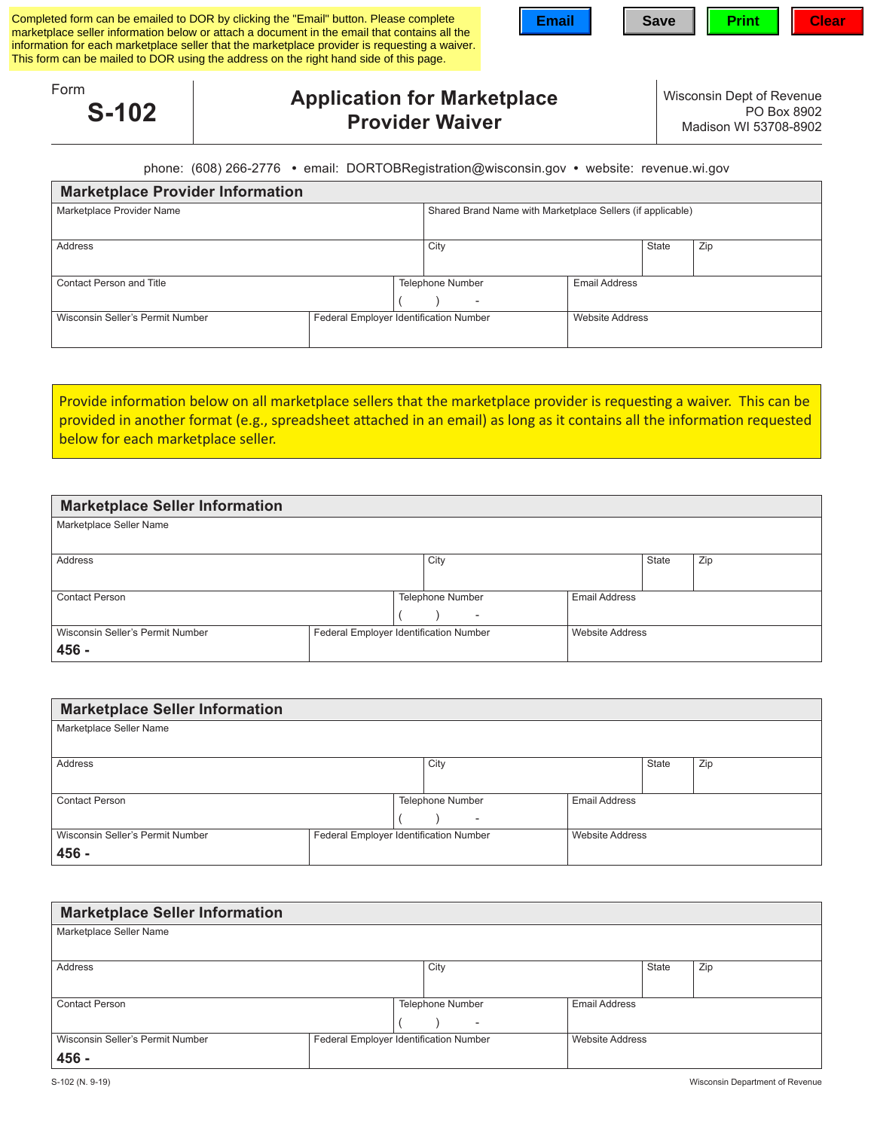|                 | Completed form can be emailed to DOR by clicking the "Email" button. Please complete<br>marketplace seller information below or attach a document in the email that contains all the<br>information for each marketplace seller that the marketplace provider is requesting a waiver.<br>This form can be mailed to DOR using the address on the right hand side of this page. | <b>Email</b> | <b>Save</b> | <b>Print</b>                                       | <b>Clear</b> |
|-----------------|--------------------------------------------------------------------------------------------------------------------------------------------------------------------------------------------------------------------------------------------------------------------------------------------------------------------------------------------------------------------------------|--------------|-------------|----------------------------------------------------|--------------|
| Form<br>$S-102$ | <b>Application for Marketplace</b><br><b>Provider Waiver</b>                                                                                                                                                                                                                                                                                                                   |              |             | Wisconsin Dept of Revenue<br>Madison WI 53708-8902 | PO Box 8902  |
|                 | phone: (608) 266-2776 • email: DORTOBRegistration@wisconsin.gov • website: revenue.wi.gov                                                                                                                                                                                                                                                                                      |              |             |                                                    |              |

|  | phone: (608) 266-2776 • email: DORTOBRegistration@wisconsin.gov • website: revenue.wi.gov |  |
|--|-------------------------------------------------------------------------------------------|--|
|  |                                                                                           |  |

| <b>Marketplace Provider Information</b>                                    |  |  |                                                            |                        |  |  |  |  |  |  |
|----------------------------------------------------------------------------|--|--|------------------------------------------------------------|------------------------|--|--|--|--|--|--|
| Marketplace Provider Name                                                  |  |  | Shared Brand Name with Marketplace Sellers (if applicable) |                        |  |  |  |  |  |  |
| Address                                                                    |  |  | Zip<br><b>State</b><br>City                                |                        |  |  |  |  |  |  |
| <b>Contact Person and Title</b>                                            |  |  | <b>Telephone Number</b><br>$\overline{\phantom{a}}$        | <b>Email Address</b>   |  |  |  |  |  |  |
| Federal Employer Identification Number<br>Wisconsin Seller's Permit Number |  |  |                                                            | <b>Website Address</b> |  |  |  |  |  |  |

Provide information below on all marketplace sellers that the marketplace provider is requesting a waiver. This can be provided in another format (e.g., spreadsheet attached in an email) as long as it contains all the information requested below for each marketplace seller.

| <b>Marketplace Seller Information</b>                                      |  |  |                          |                        |              |     |  |  |  |  |  |
|----------------------------------------------------------------------------|--|--|--------------------------|------------------------|--------------|-----|--|--|--|--|--|
| Marketplace Seller Name                                                    |  |  |                          |                        |              |     |  |  |  |  |  |
|                                                                            |  |  |                          |                        |              |     |  |  |  |  |  |
| Address                                                                    |  |  | City                     |                        | <b>State</b> | Zip |  |  |  |  |  |
|                                                                            |  |  |                          |                        |              |     |  |  |  |  |  |
| <b>Contact Person</b>                                                      |  |  | Telephone Number         | <b>Email Address</b>   |              |     |  |  |  |  |  |
|                                                                            |  |  | $\overline{\phantom{a}}$ |                        |              |     |  |  |  |  |  |
| Wisconsin Seller's Permit Number<br>Federal Employer Identification Number |  |  |                          | <b>Website Address</b> |              |     |  |  |  |  |  |
| 456 -                                                                      |  |  |                          |                        |              |     |  |  |  |  |  |

| <b>Marketplace Seller Information</b> |  |                                        |                        |                      |              |     |  |  |  |  |  |
|---------------------------------------|--|----------------------------------------|------------------------|----------------------|--------------|-----|--|--|--|--|--|
| Marketplace Seller Name               |  |                                        |                        |                      |              |     |  |  |  |  |  |
|                                       |  |                                        |                        |                      |              |     |  |  |  |  |  |
| Address                               |  |                                        | City                   |                      | <b>State</b> | Zip |  |  |  |  |  |
|                                       |  |                                        |                        |                      |              |     |  |  |  |  |  |
| <b>Contact Person</b>                 |  |                                        | Telephone Number       | <b>Email Address</b> |              |     |  |  |  |  |  |
|                                       |  | $\overline{\phantom{a}}$               |                        |                      |              |     |  |  |  |  |  |
| Wisconsin Seller's Permit Number      |  | Federal Employer Identification Number | <b>Website Address</b> |                      |              |     |  |  |  |  |  |
| 456 -                                 |  |                                        |                        |                      |              |     |  |  |  |  |  |

| <b>Marketplace Seller Information</b>                                      |  |  |                          |                        |              |     |  |  |  |  |  |
|----------------------------------------------------------------------------|--|--|--------------------------|------------------------|--------------|-----|--|--|--|--|--|
| Marketplace Seller Name                                                    |  |  |                          |                        |              |     |  |  |  |  |  |
|                                                                            |  |  |                          |                        |              |     |  |  |  |  |  |
| Address                                                                    |  |  | City                     |                        | <b>State</b> | Zip |  |  |  |  |  |
|                                                                            |  |  |                          |                        |              |     |  |  |  |  |  |
| <b>Contact Person</b>                                                      |  |  | <b>Telephone Number</b>  | <b>Email Address</b>   |              |     |  |  |  |  |  |
|                                                                            |  |  | $\overline{\phantom{a}}$ |                        |              |     |  |  |  |  |  |
| Wisconsin Seller's Permit Number<br>Federal Employer Identification Number |  |  |                          | <b>Website Address</b> |              |     |  |  |  |  |  |
| 456 -                                                                      |  |  |                          |                        |              |     |  |  |  |  |  |